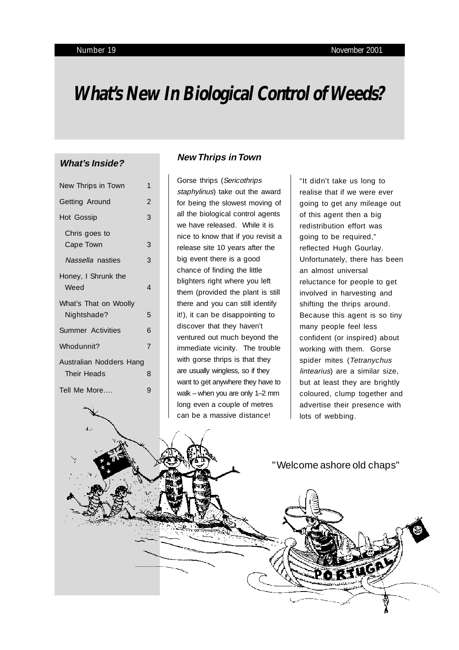# **What's New In Biological Control of Weeds?**

#### **What's Inside?**

| New Thrips in Town                     | 1 |
|----------------------------------------|---|
| Getting Around                         | 2 |
| Hot Gossip                             | 3 |
| Chris goes to<br>Cape Town             | 3 |
| Nassella nasties                       | 3 |
| Honey, I Shrunk the<br>Weed            | 4 |
| What's That on Woolly<br>Nightshade?   | 5 |
| Summer Activities                      | 6 |
| Whodunnit?                             | 7 |
| Australian Nodders Hang<br>Their Heads | 8 |
| Tell Me More                           | 9 |

#### **New Thrips in Town**

Gorse thrips (Sericothrips staphylinus) take out the award for being the slowest moving of all the biological control agents we have released. While it is nice to know that if you revisit a release site 10 years after the big event there is a good chance of finding the little blighters right where you left them (provided the plant is still there and you can still identify it!), it can be disappointing to discover that they haven't ventured out much beyond the immediate vicinity. The trouble with gorse thrips is that they are usually wingless, so if they want to get anywhere they have to walk – when you are only 1–2 mm long even a couple of metres can be a massive distance!

"It didn't take us long to realise that if we were ever going to get any mileage out of this agent then a big redistribution effort was going to be required," reflected Hugh Gourlay. Unfortunately, there has been an almost universal reluctance for people to get involved in harvesting and shifting the thrips around. Because this agent is so tiny many people feel less confident (or inspired) about working with them. Gorse spider mites (Tetranychus lintearius) are a similar size, but at least they are brightly coloured, clump together and advertise their presence with lots of webbing.

" Welcome ashore old chaps"

PORTLEA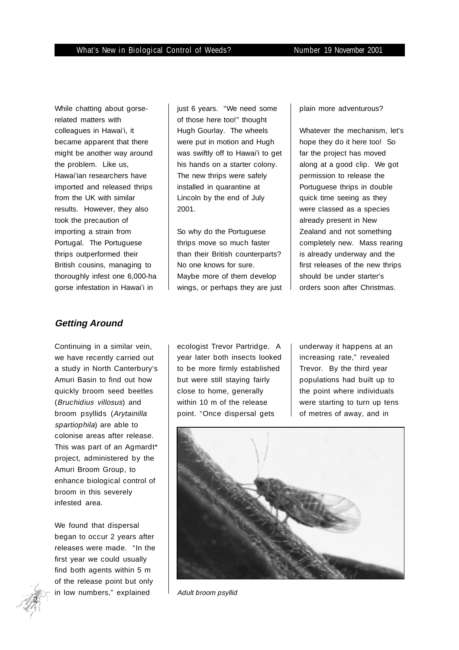While chatting about gorserelated matters with colleagues in Hawai'i, it became apparent that there might be another way around the problem. Like us, Hawai'ian researchers have imported and released thrips from the UK with similar results. However, they also took the precaution of importing a strain from Portugal. The Portuguese thrips outperformed their British cousins, managing to thoroughly infest one 6,000-ha gorse infestation in Hawai'i in

## **Getting Around**

Continuing in a similar vein, we have recently carried out a study in North Canterbury's Amuri Basin to find out how quickly broom seed beetles (Bruchidius villosus) and broom psyllids (Arytainilla spartiophila) are able to colonise areas after release. This was part of an Agmardt\* project, administered by the Amuri Broom Group, to enhance biological control of broom in this severely infested area.

We found that dispersal began to occur 2 years after releases were made. "In the first year we could usually find both agents within 5 m of the release point but only in low numbers," explained

just 6 years. "We need some of those here too!" thought Hugh Gourlay. The wheels were put in motion and Hugh was swiftly off to Hawai'i to get his hands on a starter colony. The new thrips were safely installed in quarantine at Lincoln by the end of July 2001.

So why do the Portuguese thrips move so much faster than their British counterparts? No one knows for sure. Maybe more of them develop wings, or perhaps they are just plain more adventurous?

Whatever the mechanism, let's hope they do it here too! So far the project has moved along at a good clip. We got permission to release the Portuguese thrips in double quick time seeing as they were classed as a species already present in New Zealand and not something completely new. Mass rearing is already underway and the first releases of the new thrips should be under starter's orders soon after Christmas.

ecologist Trevor Partridge. A year later both insects looked to be more firmly established but were still staying fairly close to home, generally within 10 m of the release point. "Once dispersal gets

underway it happens at an increasing rate," revealed Trevor. By the third year populations had built up to the point where individuals were starting to turn up tens of metres of away, and in



Adult broom psyllid

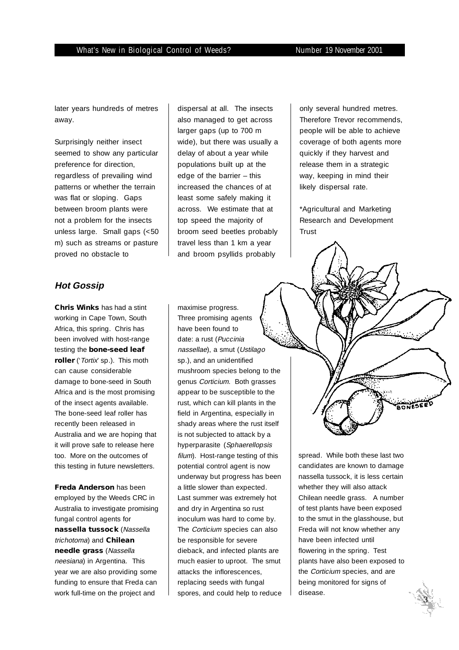later years hundreds of metres away.

Surprisingly neither insect seemed to show any particular preference for direction, regardless of prevailing wind patterns or whether the terrain was flat or sloping. Gaps between broom plants were not a problem for the insects unless large. Small gaps (<50 m) such as streams or pasture proved no obstacle to

## dispersal at all. The insects also managed to get across larger gaps (up to 700 m wide), but there was usually a delay of about a year while populations built up at the edge of the barrier – this increased the chances of at least some safely making it across. We estimate that at top speed the majority of broom seed beetles probably travel less than 1 km a year and broom psyllids probably

only several hundred metres. Therefore Trevor recommends, people will be able to achieve coverage of both agents more quickly if they harvest and release them in a strategic way, keeping in mind their likely dispersal rate.

\*Agricultural and Marketing Research and Development Trust

#### **Hot Gossip**

**Chris Winks** has had a stint working in Cape Town, South Africa, this spring. Chris has been involved with host-range testing the **bone-seed leaf roller** ('*Tortix*' sp.). This moth can cause considerable damage to bone-seed in South Africa and is the most promising of the insect agents available. The bone-seed leaf roller has recently been released in Australia and we are hoping that it will prove safe to release here too. More on the outcomes of this testing in future newsletters.

**Freda Anderson** has been employed by the Weeds CRC in Australia to investigate promising fungal control agents for **nassella tussock** (Nassella trichotoma) and **Chilean needle grass** (Nassella neesiana) in Argentina. This year we are also providing some funding to ensure that Freda can work full-time on the project and

maximise progress. Three promising agents have been found to date: a rust (Puccinia nassellae), a smut (Ustilago sp.), and an unidentified mushroom species belong to the genus Corticium. Both grasses appear to be susceptible to the rust, which can kill plants in the field in Argentina, especially in shady areas where the rust itself is not subjected to attack by a hyperparasite (Sphaerellopsis filum). Host-range testing of this potential control agent is now underway but progress has been a little slower than expected. Last summer was extremely hot and dry in Argentina so rust inoculum was hard to come by. The Corticium species can also be responsible for severe dieback, and infected plants are much easier to uproot. The smut attacks the inflorescences, replacing seeds with fungal spores, and could help to reduce

spread. While both these last two candidates are known to damage nassella tussock, it is less certain whether they will also attack Chilean needle grass. A number of test plants have been exposed to the smut in the glasshouse, but Freda will not know whether any have been infected until flowering in the spring. Test plants have also been exposed to the Corticium species, and are being monitored for signs of disease.



ONESEE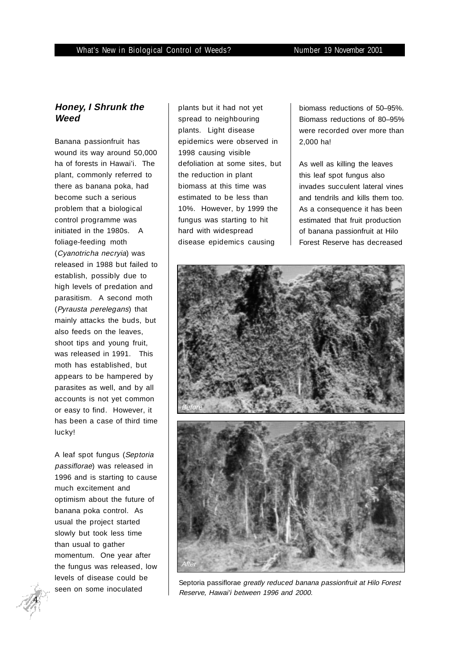#### **Honey, I Shrunk the Weed**

Banana passionfruit has wound its way around 50,000 ha of forests in Hawai'i. The plant, commonly referred to there as banana poka, had become such a serious problem that a biological control programme was initiated in the 1980s. A foliage-feeding moth (Cyanotricha necryia) was released in 1988 but failed to establish, possibly due to high levels of predation and parasitism. A second moth (Pyrausta perelegans) that mainly attacks the buds, but also feeds on the leaves, shoot tips and young fruit, was released in 1991. This moth has established, but appears to be hampered by parasites as well, and by all accounts is not yet common or easy to find. However, it has been a case of third time lucky!

A leaf spot fungus (Septoria passiflorae) was released in 1996 and is starting to cause much excitement and optimism about the future of banana poka control. As usual the project started slowly but took less time than usual to gather momentum. One year after the fungus was released, low levels of disease could be

plants but it had not yet spread to neighbouring plants. Light disease epidemics were observed in 1998 causing visible defoliation at some sites, but the reduction in plant biomass at this time was estimated to be less than 10%. However, by 1999 the fungus was starting to hit hard with widespread disease epidemics causing

biomass reductions of 50–95%. Biomass reductions of 80–95% were recorded over more than 2,000 ha!

As well as killing the leaves this leaf spot fungus also invades succulent lateral vines and tendrils and kills them too. As a consequence it has been estimated that fruit production of banana passionfruit at Hilo Forest Reserve has decreased



seen on some inoculated Septoria passiflorae greatly reduced banana passionfruit at Hilo Forest<br>Seen on some inoculated September 1994 and 2009 Reserve, Hawai'i between 1996 and 2000.

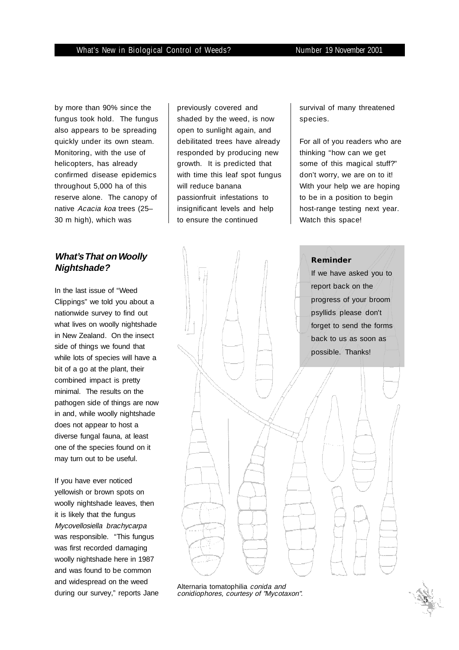by more than 90% since the fungus took hold. The fungus also appears to be spreading quickly under its own steam. Monitoring, with the use of helicopters, has already confirmed disease epidemics throughout 5,000 ha of this reserve alone. The canopy of native Acacia koa trees (25– 30 m high), which was

#### **What's That on Woolly Nightshade?**

In the last issue of "Weed Clippings" we told you about a nationwide survey to find out what lives on woolly nightshade in New Zealand. On the insect side of things we found that while lots of species will have a bit of a go at the plant, their combined impact is pretty minimal. The results on the pathogen side of things are now in and, while woolly nightshade does not appear to host a diverse fungal fauna, at least one of the species found on it may turn out to be useful.

If you have ever noticed yellowish or brown spots on woolly nightshade leaves, then it is likely that the fungus Mycovellosiella brachycarpa was responsible. "This fungus was first recorded damaging woolly nightshade here in 1987 and was found to be common and widespread on the weed during our survey," reports Jane

previously covered and shaded by the weed, is now open to sunlight again, and debilitated trees have already responded by producing new growth. It is predicted that with time this leaf spot fungus will reduce banana passionfruit infestations to insignificant levels and help to ensure the continued

survival of many threatened species.

For all of you readers who are thinking "how can we get some of this magical stuff?" don't worry, we are on to it! With your help we are hoping to be in a position to begin host-range testing next year. Watch this space!



Alternaria tomatophilia conida and conidiophores, courtesy of "Mycotaxon".

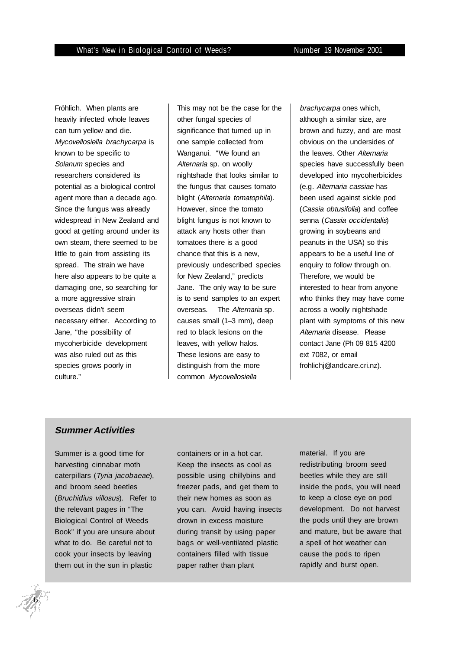Fröhlich. When plants are heavily infected whole leaves can turn yellow and die. Mycovellosiella brachycarpa is known to be specific to Solanum species and researchers considered its potential as a biological control agent more than a decade ago. Since the fungus was already widespread in New Zealand and good at getting around under its own steam, there seemed to be little to gain from assisting its spread. The strain we have here also appears to be quite a damaging one, so searching for a more aggressive strain overseas didn't seem necessary either. According to Jane, "the possibility of mycoherbicide development was also ruled out as this species grows poorly in culture."

This may not be the case for the other fungal species of significance that turned up in one sample collected from Wanganui. "We found an Alternaria sp. on woolly nightshade that looks similar to the fungus that causes tomato blight (Alternaria tomatophila). However, since the tomato blight fungus is not known to attack any hosts other than tomatoes there is a good chance that this is a new, previously undescribed species for New Zealand," predicts Jane. The only way to be sure is to send samples to an expert overseas. The Alternaria sp. causes small (1–3 mm), deep red to black lesions on the leaves, with yellow halos. These lesions are easy to distinguish from the more common Mycovellosiella

brachycarpa ones which, although a similar size, are brown and fuzzy, and are most obvious on the undersides of the leaves. Other Alternaria species have successfully been developed into mycoherbicides (e.g. Alternaria cassiae has been used against sickle pod (Cassia obtusifolia) and coffee senna (Cassia occidentalis) growing in soybeans and peanuts in the USA) so this appears to be a useful line of enquiry to follow through on. Therefore, we would be interested to hear from anyone who thinks they may have come across a woolly nightshade plant with symptoms of this new Alternaria disease. Please contact Jane (Ph 09 815 4200 ext 7082, or email frohlichj@landcare.cri.nz).

#### **Summer Activities**

Summer is a good time for harvesting cinnabar moth caterpillars (Tyria jacobaeae), and broom seed beetles (Bruchidius villosus). Refer to the relevant pages in "The Biological Control of Weeds Book" if you are unsure about what to do. Be careful not to cook your insects by leaving them out in the sun in plastic

containers or in a hot car. Keep the insects as cool as possible using chillybins and freezer pads, and get them to their new homes as soon as you can. Avoid having insects drown in excess moisture during transit by using paper bags or well-ventilated plastic containers filled with tissue paper rather than plant

material. If you are redistributing broom seed beetles while they are still inside the pods, you will need to keep a close eye on pod development. Do not harvest the pods until they are brown and mature, but be aware that a spell of hot weather can cause the pods to ripen rapidly and burst open.

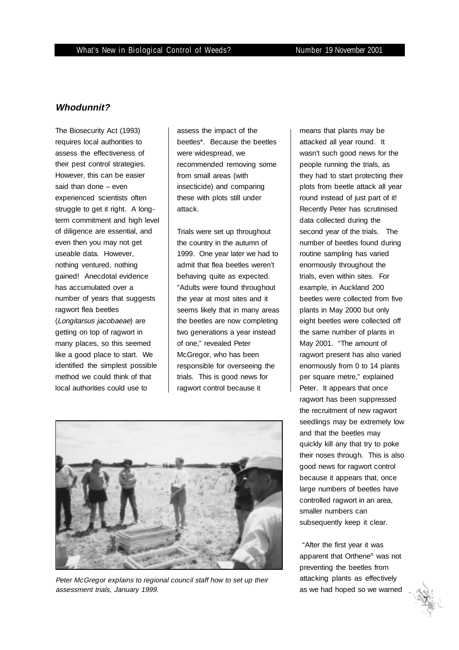#### **Whodunnit?**

The Biosecurity Act (1993) requires local authorities to assess the effectiveness of their pest control strategies. However, this can be easier said than done – even experienced scientists often struggle to get it right. A longterm commitment and high level of diligence are essential, and even then you may not get useable data. However, nothing ventured, nothing gained! Anecdotal evidence has accumulated over a number of years that suggests ragwort flea beetles (Longitarsus jacobaeae) are getting on top of ragwort in many places, so this seemed like a good place to start. We identified the simplest possible method we could think of that local authorities could use to

assess the impact of the beetles\*. Because the beetles were widespread, we recommended removing some from small areas (with insecticide) and comparing these with plots still under attack.

Trials were set up throughout the country in the autumn of 1999. One year later we had to admit that flea beetles weren't behaving quite as expected. "Adults were found throughout the year at most sites and it seems likely that in many areas the beetles are now completing two generations a year instead of one," revealed Peter McGregor, who has been responsible for overseeing the trials. This is good news for ragwort control because it



Peter McGregor explains to regional council staff how to set up their assessment trials, January 1999.

means that plants may be attacked all year round. It wasn't such good news for the people running the trials, as they had to start protecting their plots from beetle attack all year round instead of just part of it! Recently Peter has scrutinised data collected during the second year of the trials. The number of beetles found during routine sampling has varied enormously throughout the trials, even within sites. For example, in Auckland 200 beetles were collected from five plants in May 2000 but only eight beetles were collected off the same number of plants in May 2001. "The amount of ragwort present has also varied enormously from 0 to 14 plants per square metre," explained Peter. It appears that once ragwort has been suppressed the recruitment of new ragwort seedlings may be extremely low and that the beetles may quickly kill any that try to poke their noses through. This is also good news for ragwort control because it appears that, once large numbers of beetles have controlled ragwort in an area, smaller numbers can subsequently keep it clear.

 "After the first year it was apparent that Orthene® was not preventing the beetles from attacking plants as effectively as we had hoped so we warned

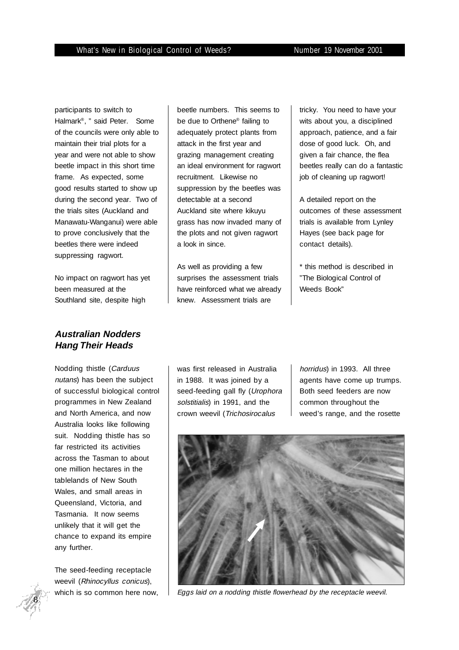participants to switch to Halmark®, " said Peter. Some of the councils were only able to maintain their trial plots for a year and were not able to show beetle impact in this short time frame. As expected, some good results started to show up during the second year. Two of the trials sites (Auckland and Manawatu-Wanganui) were able to prove conclusively that the beetles there were indeed suppressing ragwort.

No impact on ragwort has yet been measured at the Southland site, despite high

## **Australian Nodders Hang Their Heads**

Nodding thistle (Carduus nutans) has been the subject of successful biological control programmes in New Zealand and North America, and now Australia looks like following suit. Nodding thistle has so far restricted its activities across the Tasman to about one million hectares in the tablelands of New South Wales, and small areas in Queensland, Victoria, and Tasmania. It now seems unlikely that it will get the chance to expand its empire any further.

The seed-feeding receptacle weevil (Rhinocyllus conicus), beetle numbers. This seems to be due to Orthene® failing to adequately protect plants from attack in the first year and grazing management creating an ideal environment for ragwort recruitment. Likewise no suppression by the beetles was detectable at a second Auckland site where kikuyu grass has now invaded many of the plots and not given ragwort a look in since.

As well as providing a few surprises the assessment trials have reinforced what we already knew. Assessment trials are

tricky. You need to have your wits about you, a disciplined approach, patience, and a fair dose of good luck. Oh, and given a fair chance, the flea beetles really can do a fantastic job of cleaning up ragwort!

A detailed report on the outcomes of these assessment trials is available from Lynley Hayes (see back page for contact details).

\* this method is described in "The Biological Control of Weeds Book"

was first released in Australia in 1988. It was joined by a seed-feeding gall fly (Urophora solstitialis) in 1991, and the crown weevil (Trichosirocalus

horridus) in 1993. All three agents have come up trumps. Both seed feeders are now common throughout the weed's range, and the rosette



which is so common here now,  $\parallel$  Eggs laid on a nodding thistle flowerhead by the receptacle weevil.

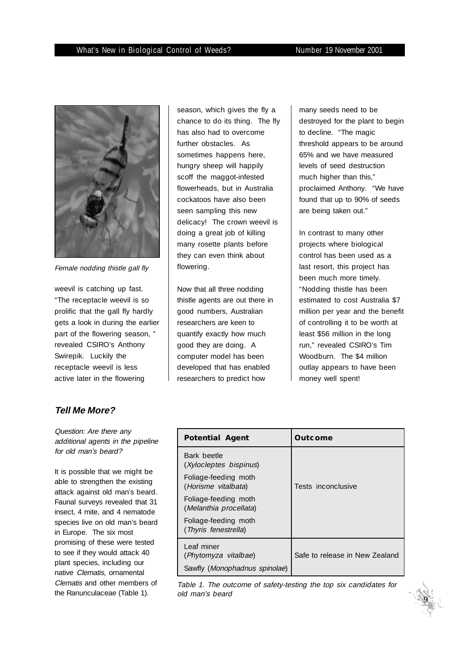

Female nodding thistle gall fly

weevil is catching up fast. "The receptacle weevil is so prolific that the gall fly hardly gets a look in during the earlier part of the flowering season, " revealed CSIRO's Anthony Swirepik. Luckily the receptacle weevil is less active later in the flowering

season, which gives the fly a chance to do its thing. The fly has also had to overcome further obstacles. As sometimes happens here, hungry sheep will happily scoff the maggot-infested flowerheads, but in Australia cockatoos have also been seen sampling this new delicacy! The crown weevil is doing a great job of killing many rosette plants before they can even think about flowering.

Now that all three nodding thistle agents are out there in good numbers, Australian researchers are keen to quantify exactly how much good they are doing. A computer model has been developed that has enabled researchers to predict how

many seeds need to be destroyed for the plant to begin to decline. "The magic threshold appears to be around 65% and we have measured levels of seed destruction much higher than this," proclaimed Anthony. "We have found that up to 90% of seeds are being taken out."

In contrast to many other projects where biological control has been used as a last resort, this project has been much more timely. "Nodding thistle has been estimated to cost Australia \$7 million per year and the benefit of controlling it to be worth at least \$56 million in the long run," revealed CSIRO's Tim Woodburn. The \$4 million outlay appears to have been money well spent!

## **Tell Me More?**

Question: Are there any additional agents in the pipeline for old man's beard?

It is possible that we might be able to strengthen the existing attack against old man's beard. Faunal surveys revealed that 31 insect, 4 mite, and 4 nematode species live on old man's beard in Europe. The six most promising of these were tested to see if they would attack 40 plant species, including our native Clematis, ornamental Clematis and other members of the Ranunculaceae (Table 1).

| <b>Potential Agent</b>                         | <b>Outcome</b>                 |
|------------------------------------------------|--------------------------------|
| Bark beetle<br>(Xylocleptes bispinus)          |                                |
| Foliage-feeding moth<br>(Horisme vitalbata)    | Tests inconclusive             |
| Foliage-feeding moth<br>(Melanthia procellata) |                                |
| Foliage-feeding moth<br>(Thyris fenestrella)   |                                |
| Leaf miner<br>(Phytomyza vitalbae)             | Safe to release in New Zealand |
| Sawfly (Monophadnus spinolae)                  |                                |

Table 1. The outcome of safety-testing the top six candidates for old man's beard